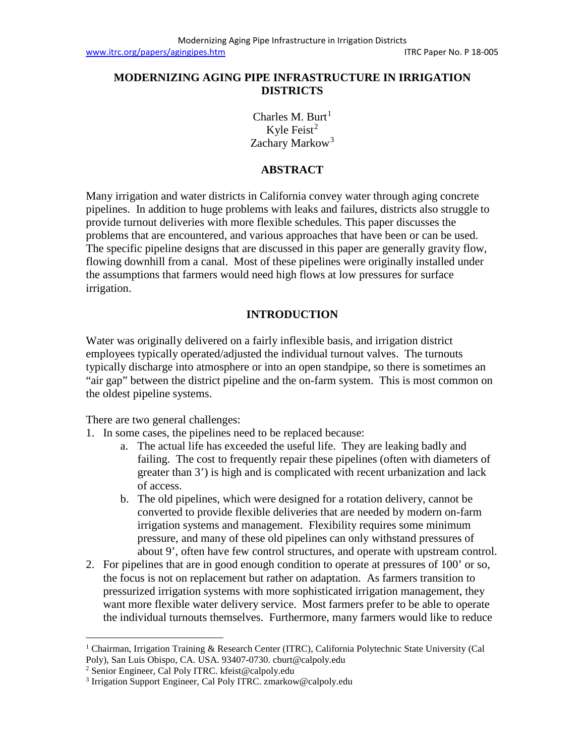## **MODERNIZING AGING PIPE INFRASTRUCTURE IN IRRIGATION DISTRICTS**

Charles M. Burt<sup>[1](#page-0-0)</sup> Kyle Feist $2$ Zachary Markow<sup>[3](#page-0-2)</sup>

### **ABSTRACT**

Many irrigation and water districts in California convey water through aging concrete pipelines. In addition to huge problems with leaks and failures, districts also struggle to provide turnout deliveries with more flexible schedules. This paper discusses the problems that are encountered, and various approaches that have been or can be used. The specific pipeline designs that are discussed in this paper are generally gravity flow, flowing downhill from a canal. Most of these pipelines were originally installed under the assumptions that farmers would need high flows at low pressures for surface irrigation.

# **INTRODUCTION**

Water was originally delivered on a fairly inflexible basis, and irrigation district employees typically operated/adjusted the individual turnout valves. The turnouts typically discharge into atmosphere or into an open standpipe, so there is sometimes an "air gap" between the district pipeline and the on-farm system. This is most common on the oldest pipeline systems.

There are two general challenges:

- 1. In some cases, the pipelines need to be replaced because:
	- a. The actual life has exceeded the useful life. They are leaking badly and failing. The cost to frequently repair these pipelines (often with diameters of greater than 3') is high and is complicated with recent urbanization and lack of access.
	- b. The old pipelines, which were designed for a rotation delivery, cannot be converted to provide flexible deliveries that are needed by modern on-farm irrigation systems and management. Flexibility requires some minimum pressure, and many of these old pipelines can only withstand pressures of about 9', often have few control structures, and operate with upstream control.
- 2. For pipelines that are in good enough condition to operate at pressures of 100' or so, the focus is not on replacement but rather on adaptation. As farmers transition to pressurized irrigation systems with more sophisticated irrigation management, they want more flexible water delivery service. Most farmers prefer to be able to operate the individual turnouts themselves. Furthermore, many farmers would like to reduce

<span id="page-0-0"></span><sup>&</sup>lt;sup>1</sup> Chairman, Irrigation Training & Research Center (ITRC), California Polytechnic State University (Cal Poly), San Luis Obispo, CA. USA. 93407-0730. cburt@calpoly.edu

<span id="page-0-1"></span><sup>2</sup> Senior Engineer, Cal Poly ITRC. kfeist@calpoly.edu

<span id="page-0-2"></span><sup>3</sup> Irrigation Support Engineer, Cal Poly ITRC. zmarkow@calpoly.edu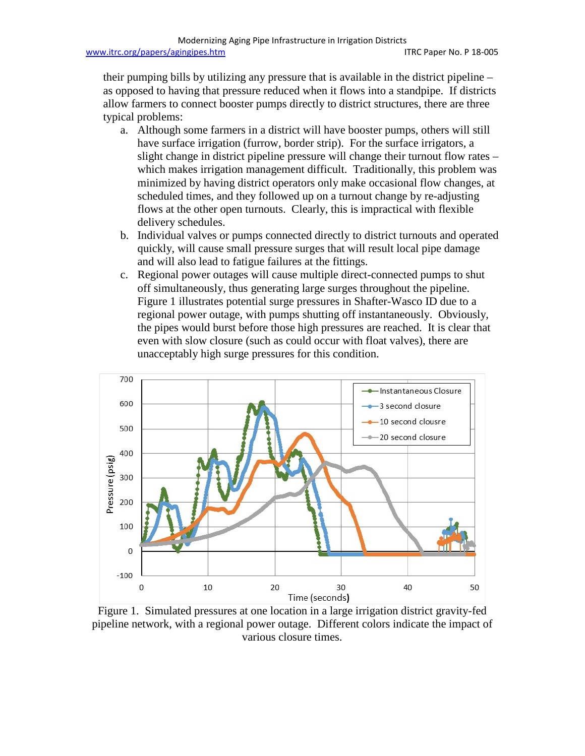their pumping bills by utilizing any pressure that is available in the district pipeline – as opposed to having that pressure reduced when it flows into a standpipe. If districts allow farmers to connect booster pumps directly to district structures, there are three typical problems:

- a. Although some farmers in a district will have booster pumps, others will still have surface irrigation (furrow, border strip). For the surface irrigators, a slight change in district pipeline pressure will change their turnout flow rates – which makes irrigation management difficult. Traditionally, this problem was minimized by having district operators only make occasional flow changes, at scheduled times, and they followed up on a turnout change by re-adjusting flows at the other open turnouts. Clearly, this is impractical with flexible delivery schedules.
- b. Individual valves or pumps connected directly to district turnouts and operated quickly, will cause small pressure surges that will result local pipe damage and will also lead to fatigue failures at the fittings.
- c. Regional power outages will cause multiple direct-connected pumps to shut off simultaneously, thus generating large surges throughout the pipeline. Figure 1 illustrates potential surge pressures in Shafter-Wasco ID due to a regional power outage, with pumps shutting off instantaneously. Obviously, the pipes would burst before those high pressures are reached. It is clear that even with slow closure (such as could occur with float valves), there are unacceptably high surge pressures for this condition.



Figure 1. Simulated pressures at one location in a large irrigation district gravity-fed pipeline network, with a regional power outage. Different colors indicate the impact of various closure times.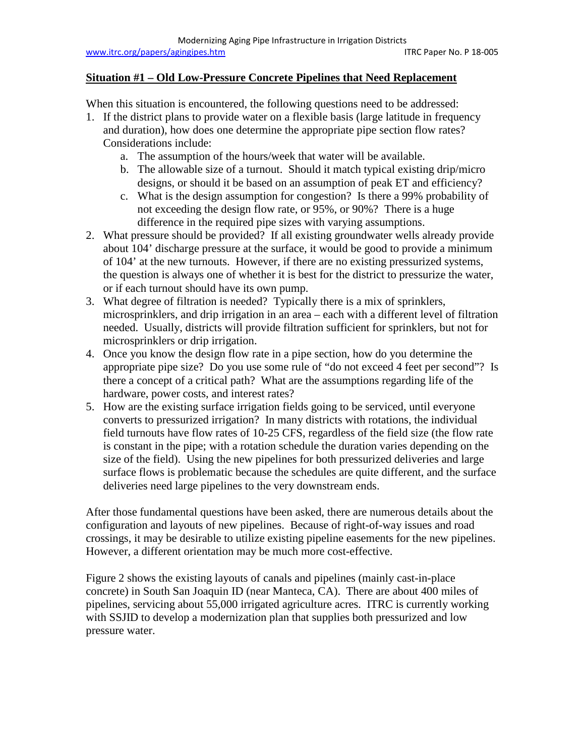### **Situation #1 – Old Low-Pressure Concrete Pipelines that Need Replacement**

When this situation is encountered, the following questions need to be addressed:

- 1. If the district plans to provide water on a flexible basis (large latitude in frequency and duration), how does one determine the appropriate pipe section flow rates? Considerations include:
	- a. The assumption of the hours/week that water will be available.
	- b. The allowable size of a turnout. Should it match typical existing drip/micro designs, or should it be based on an assumption of peak ET and efficiency?
	- c. What is the design assumption for congestion? Is there a 99% probability of not exceeding the design flow rate, or 95%, or 90%? There is a huge difference in the required pipe sizes with varying assumptions.
- 2. What pressure should be provided? If all existing groundwater wells already provide about 104' discharge pressure at the surface, it would be good to provide a minimum of 104' at the new turnouts. However, if there are no existing pressurized systems, the question is always one of whether it is best for the district to pressurize the water, or if each turnout should have its own pump.
- 3. What degree of filtration is needed? Typically there is a mix of sprinklers, microsprinklers, and drip irrigation in an area – each with a different level of filtration needed. Usually, districts will provide filtration sufficient for sprinklers, but not for microsprinklers or drip irrigation.
- 4. Once you know the design flow rate in a pipe section, how do you determine the appropriate pipe size? Do you use some rule of "do not exceed 4 feet per second"? Is there a concept of a critical path? What are the assumptions regarding life of the hardware, power costs, and interest rates?
- 5. How are the existing surface irrigation fields going to be serviced, until everyone converts to pressurized irrigation? In many districts with rotations, the individual field turnouts have flow rates of 10-25 CFS, regardless of the field size (the flow rate is constant in the pipe; with a rotation schedule the duration varies depending on the size of the field). Using the new pipelines for both pressurized deliveries and large surface flows is problematic because the schedules are quite different, and the surface deliveries need large pipelines to the very downstream ends.

After those fundamental questions have been asked, there are numerous details about the configuration and layouts of new pipelines. Because of right-of-way issues and road crossings, it may be desirable to utilize existing pipeline easements for the new pipelines. However, a different orientation may be much more cost-effective.

Figure 2 shows the existing layouts of canals and pipelines (mainly cast-in-place concrete) in South San Joaquin ID (near Manteca, CA). There are about 400 miles of pipelines, servicing about 55,000 irrigated agriculture acres. ITRC is currently working with SSJID to develop a modernization plan that supplies both pressurized and low pressure water.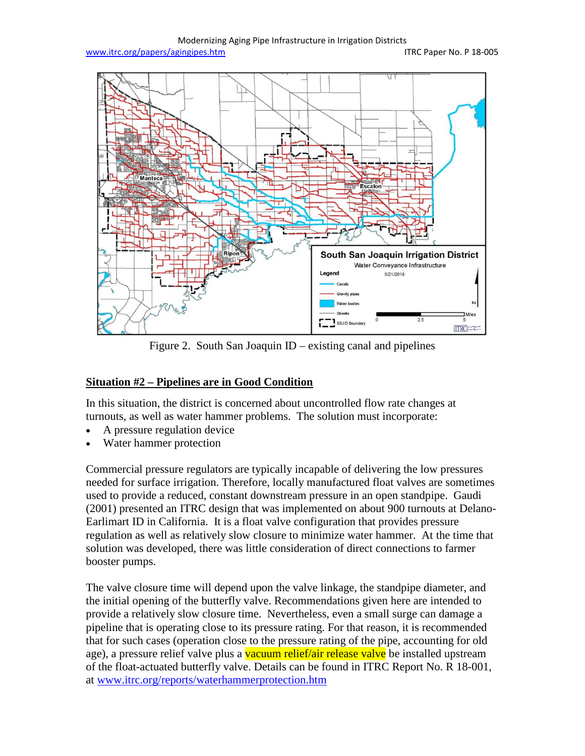Modernizing Aging Pipe Infrastructure in Irrigation Districts [www.itrc.org/papers/agingipes.htm](http://www.itrc.org/papers/agingipes.htm) in the intervention of the ITRC Paper No. P 18-005



Figure 2. South San Joaquin ID – existing canal and pipelines

### **Situation #2 – Pipelines are in Good Condition**

In this situation, the district is concerned about uncontrolled flow rate changes at turnouts, as well as water hammer problems. The solution must incorporate:

- A pressure regulation device
- Water hammer protection

Commercial pressure regulators are typically incapable of delivering the low pressures needed for surface irrigation. Therefore, locally manufactured float valves are sometimes used to provide a reduced, constant downstream pressure in an open standpipe. Gaudi (2001) presented an ITRC design that was implemented on about 900 turnouts at Delano-Earlimart ID in California. It is a float valve configuration that provides pressure regulation as well as relatively slow closure to minimize water hammer. At the time that solution was developed, there was little consideration of direct connections to farmer booster pumps.

The valve closure time will depend upon the valve linkage, the standpipe diameter, and the initial opening of the butterfly valve. Recommendations given here are intended to provide a relatively slow closure time. Nevertheless, even a small surge can damage a pipeline that is operating close to its pressure rating. For that reason, it is recommended that for such cases (operation close to the pressure rating of the pipe, accounting for old age), a pressure relief valve plus a vacuum relief/air release valve be installed upstream of the float-actuated butterfly valve. Details can be found in ITRC Report No. R 18-001, at [www.itrc.org/reports/waterhammerprotection.htm](http://www.itrc.org/reports/waterhammerprotection.htm)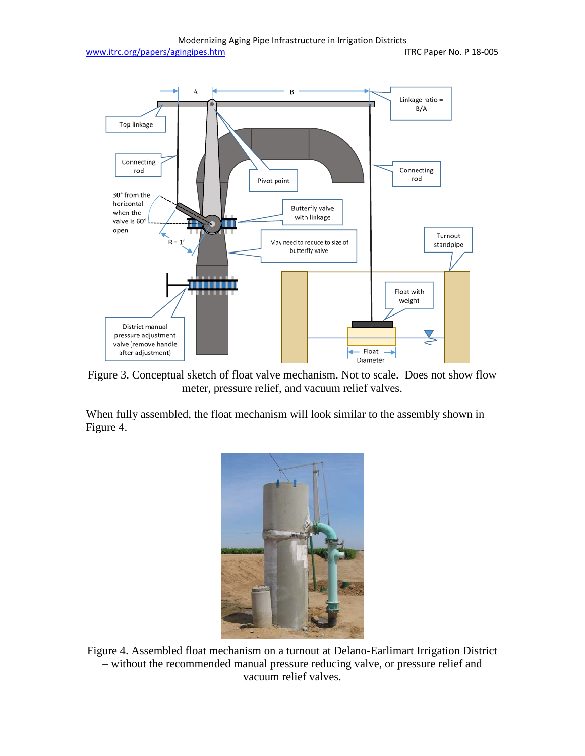

Figure 3. Conceptual sketch of float valve mechanism. Not to scale. Does not show flow meter, pressure relief, and vacuum relief valves.

When fully assembled, the float mechanism will look similar to the assembly shown in Figure 4.



Figure 4. Assembled float mechanism on a turnout at Delano-Earlimart Irrigation District – without the recommended manual pressure reducing valve, or pressure relief and vacuum relief valves.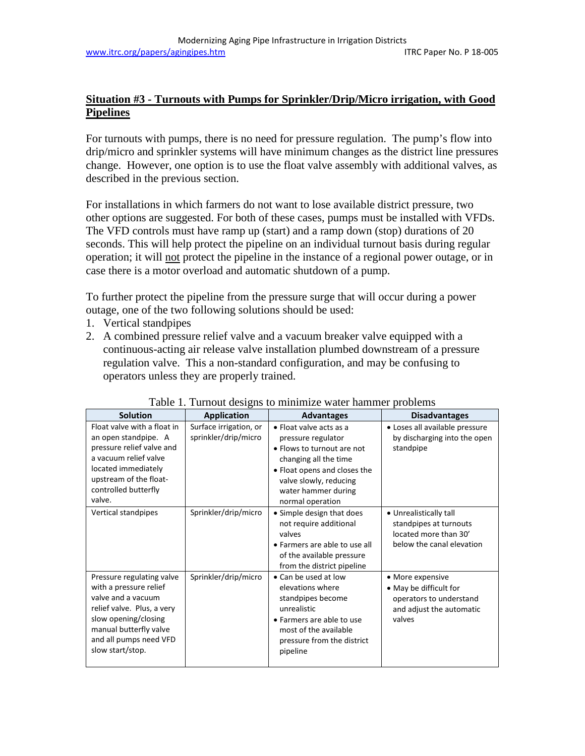# **Situation #3 - Turnouts with Pumps for Sprinkler/Drip/Micro irrigation, with Good Pipelines**

For turnouts with pumps, there is no need for pressure regulation. The pump's flow into drip/micro and sprinkler systems will have minimum changes as the district line pressures change. However, one option is to use the float valve assembly with additional valves, as described in the previous section.

For installations in which farmers do not want to lose available district pressure, two other options are suggested. For both of these cases, pumps must be installed with VFDs. The VFD controls must have ramp up (start) and a ramp down (stop) durations of 20 seconds. This will help protect the pipeline on an individual turnout basis during regular operation; it will not protect the pipeline in the instance of a regional power outage, or in case there is a motor overload and automatic shutdown of a pump.

To further protect the pipeline from the pressure surge that will occur during a power outage, one of the two following solutions should be used:

- 1. Vertical standpipes
- 2. A combined pressure relief valve and a vacuum breaker valve equipped with a continuous-acting air release valve installation plumbed downstream of a pressure regulation valve. This a non-standard configuration, and may be confusing to operators unless they are properly trained.

| racio 1. Famoat designs to minimize water nammer proclems                                                                                                                                               |                                                |                                                                                                                                                                                                                   |                                                                                                             |
|---------------------------------------------------------------------------------------------------------------------------------------------------------------------------------------------------------|------------------------------------------------|-------------------------------------------------------------------------------------------------------------------------------------------------------------------------------------------------------------------|-------------------------------------------------------------------------------------------------------------|
| <b>Solution</b>                                                                                                                                                                                         | <b>Application</b>                             | <b>Advantages</b>                                                                                                                                                                                                 | <b>Disadvantages</b>                                                                                        |
| Float valve with a float in<br>an open standpipe. A<br>pressure relief valve and<br>a vacuum relief valve<br>located immediately<br>upstream of the float-<br>controlled butterfly<br>valve.            | Surface irrigation, or<br>sprinkler/drip/micro | $\bullet$ Float valve acts as a<br>pressure regulator<br>• Flows to turnout are not<br>changing all the time<br>• Float opens and closes the<br>valve slowly, reducing<br>water hammer during<br>normal operation | • Loses all available pressure<br>by discharging into the open<br>standpipe                                 |
| Vertical standpipes                                                                                                                                                                                     | Sprinkler/drip/micro                           | • Simple design that does<br>not require additional<br>valves<br>• Farmers are able to use all<br>of the available pressure<br>from the district pipeline                                                         | • Unrealistically tall<br>standpipes at turnouts<br>located more than 30'<br>below the canal elevation      |
| Pressure regulating valve<br>with a pressure relief<br>valve and a vacuum<br>relief valve. Plus, a very<br>slow opening/closing<br>manual butterfly valve<br>and all pumps need VFD<br>slow start/stop. | Sprinkler/drip/micro                           | • Can be used at low<br>elevations where<br>standpipes become<br>unrealistic<br>• Farmers are able to use<br>most of the available<br>pressure from the district<br>pipeline                                      | • More expensive<br>• May be difficult for<br>operators to understand<br>and adjust the automatic<br>valves |

#### Table 1. Turnout designs to minimize water hammer problems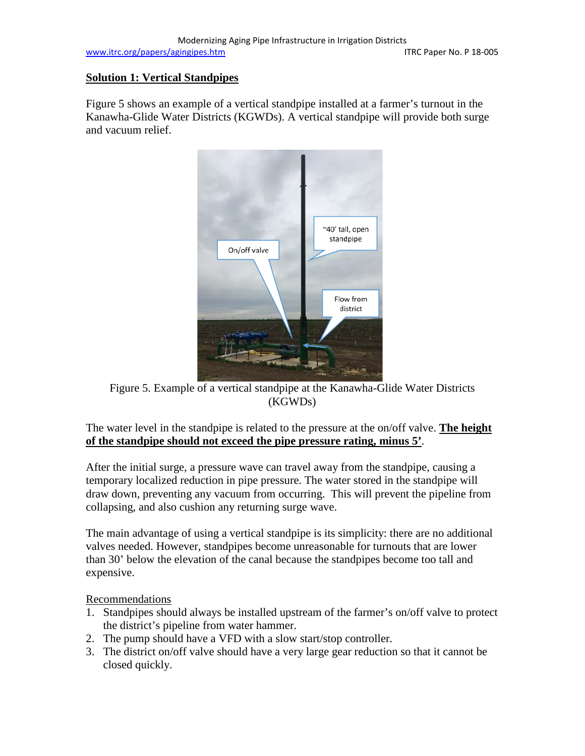# **Solution 1: Vertical Standpipes**

Figure 5 shows an example of a vertical standpipe installed at a farmer's turnout in the Kanawha-Glide Water Districts (KGWDs). A vertical standpipe will provide both surge and vacuum relief.



Figure 5. Example of a vertical standpipe at the Kanawha-Glide Water Districts (KGWDs)

The water level in the standpipe is related to the pressure at the on/off valve. **The height of the standpipe should not exceed the pipe pressure rating, minus 5'**.

After the initial surge, a pressure wave can travel away from the standpipe, causing a temporary localized reduction in pipe pressure. The water stored in the standpipe will draw down, preventing any vacuum from occurring. This will prevent the pipeline from collapsing, and also cushion any returning surge wave.

The main advantage of using a vertical standpipe is its simplicity: there are no additional valves needed. However, standpipes become unreasonable for turnouts that are lower than 30' below the elevation of the canal because the standpipes become too tall and expensive.

Recommendations

- 1. Standpipes should always be installed upstream of the farmer's on/off valve to protect the district's pipeline from water hammer.
- 2. The pump should have a VFD with a slow start/stop controller.
- 3. The district on/off valve should have a very large gear reduction so that it cannot be closed quickly.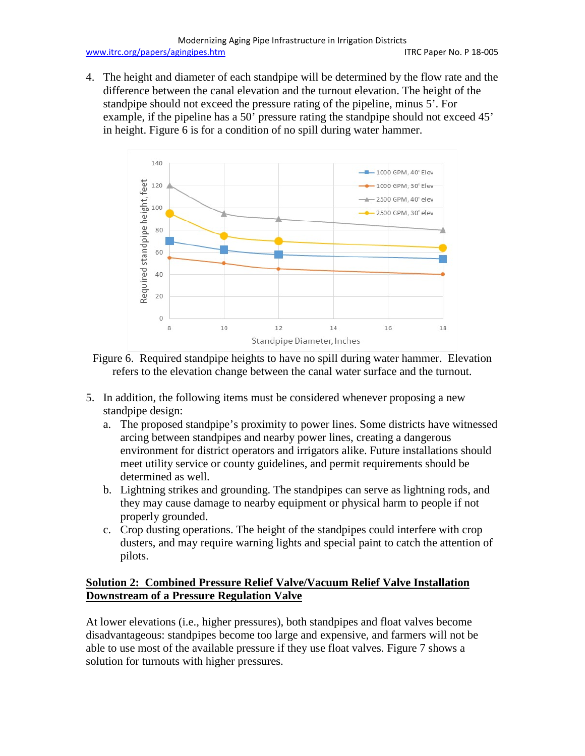4. The height and diameter of each standpipe will be determined by the flow rate and the difference between the canal elevation and the turnout elevation. The height of the standpipe should not exceed the pressure rating of the pipeline, minus 5'. For example, if the pipeline has a 50' pressure rating the standpipe should not exceed 45' in height. Figure 6 is for a condition of no spill during water hammer.



Figure 6. Required standpipe heights to have no spill during water hammer. Elevation refers to the elevation change between the canal water surface and the turnout.

- 5. In addition, the following items must be considered whenever proposing a new standpipe design:
	- a. The proposed standpipe's proximity to power lines. Some districts have witnessed arcing between standpipes and nearby power lines, creating a dangerous environment for district operators and irrigators alike. Future installations should meet utility service or county guidelines, and permit requirements should be determined as well.
	- b. Lightning strikes and grounding. The standpipes can serve as lightning rods, and they may cause damage to nearby equipment or physical harm to people if not properly grounded.
	- c. Crop dusting operations. The height of the standpipes could interfere with crop dusters, and may require warning lights and special paint to catch the attention of pilots.

# **Solution 2: Combined Pressure Relief Valve/Vacuum Relief Valve Installation Downstream of a Pressure Regulation Valve**

At lower elevations (i.e., higher pressures), both standpipes and float valves become disadvantageous: standpipes become too large and expensive, and farmers will not be able to use most of the available pressure if they use float valves. Figure 7 shows a solution for turnouts with higher pressures.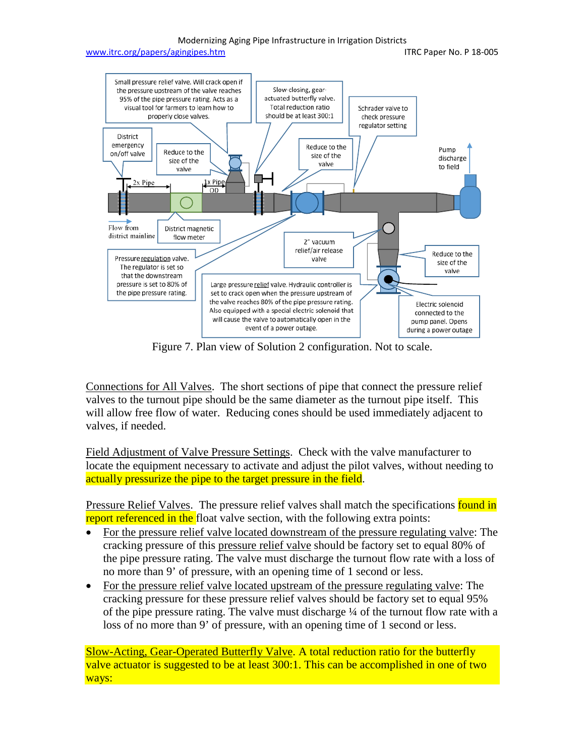#### Modernizing Aging Pipe Infrastructure in Irrigation Districts



Figure 7. Plan view of Solution 2 configuration. Not to scale.

Connections for All Valves. The short sections of pipe that connect the pressure relief valves to the turnout pipe should be the same diameter as the turnout pipe itself. This will allow free flow of water. Reducing cones should be used immediately adjacent to valves, if needed.

Field Adjustment of Valve Pressure Settings. Check with the valve manufacturer to locate the equipment necessary to activate and adjust the pilot valves, without needing to actually pressurize the pipe to the target pressure in the field.

Pressure Relief Valves. The pressure relief valves shall match the specifications found in report referenced in the float valve section, with the following extra points:

- For the pressure relief valve located downstream of the pressure regulating valve: The cracking pressure of this pressure relief valve should be factory set to equal 80% of the pipe pressure rating. The valve must discharge the turnout flow rate with a loss of no more than 9' of pressure, with an opening time of 1 second or less.
- For the pressure relief valve located upstream of the pressure regulating valve: The cracking pressure for these pressure relief valves should be factory set to equal 95% of the pipe pressure rating. The valve must discharge ¼ of the turnout flow rate with a loss of no more than 9' of pressure, with an opening time of 1 second or less.

Slow-Acting, Gear-Operated Butterfly Valve. A total reduction ratio for the butterfly valve actuator is suggested to be at least 300:1. This can be accomplished in one of two ways: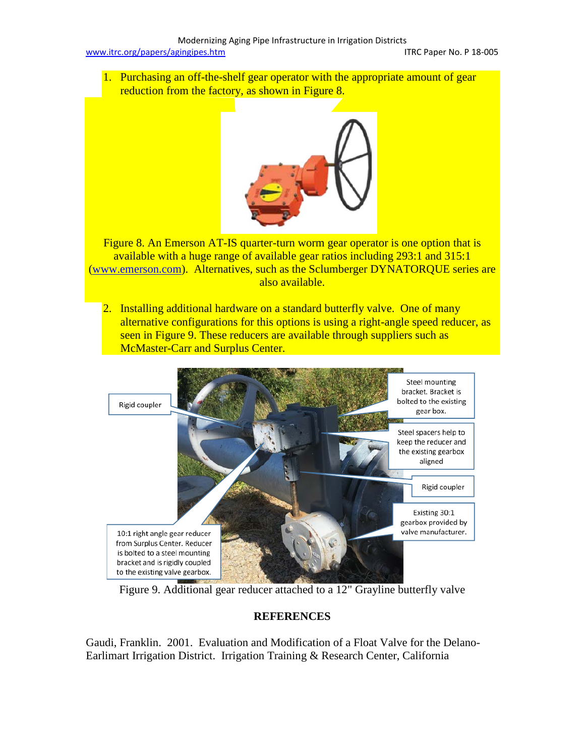1. Purchasing an off-the-shelf gear operator with the appropriate amount of gear reduction from the factory, as shown in Figure 8.



Figure 8. An Emerson AT-IS quarter-turn worm gear operator is one option that is available with a huge range of available gear ratios including 293:1 and 315:1 [\(www.emerson.com\)](http://www.emerson.com/). Alternatives, such as the Sclumberger DYNATORQUE series are also available.

2. Installing additional hardware on a standard butterfly valve. One of many alternative configurations for this options is using a right-angle speed reducer, as seen in Figure 9. These reducers are available through suppliers such as McMaster-Carr and Surplus Center.



Figure 9. Additional gear reducer attached to a 12" Grayline butterfly valve

### **REFERENCES**

Gaudi, Franklin. 2001. Evaluation and Modification of a Float Valve for the Delano-Earlimart Irrigation District. Irrigation Training & Research Center, California